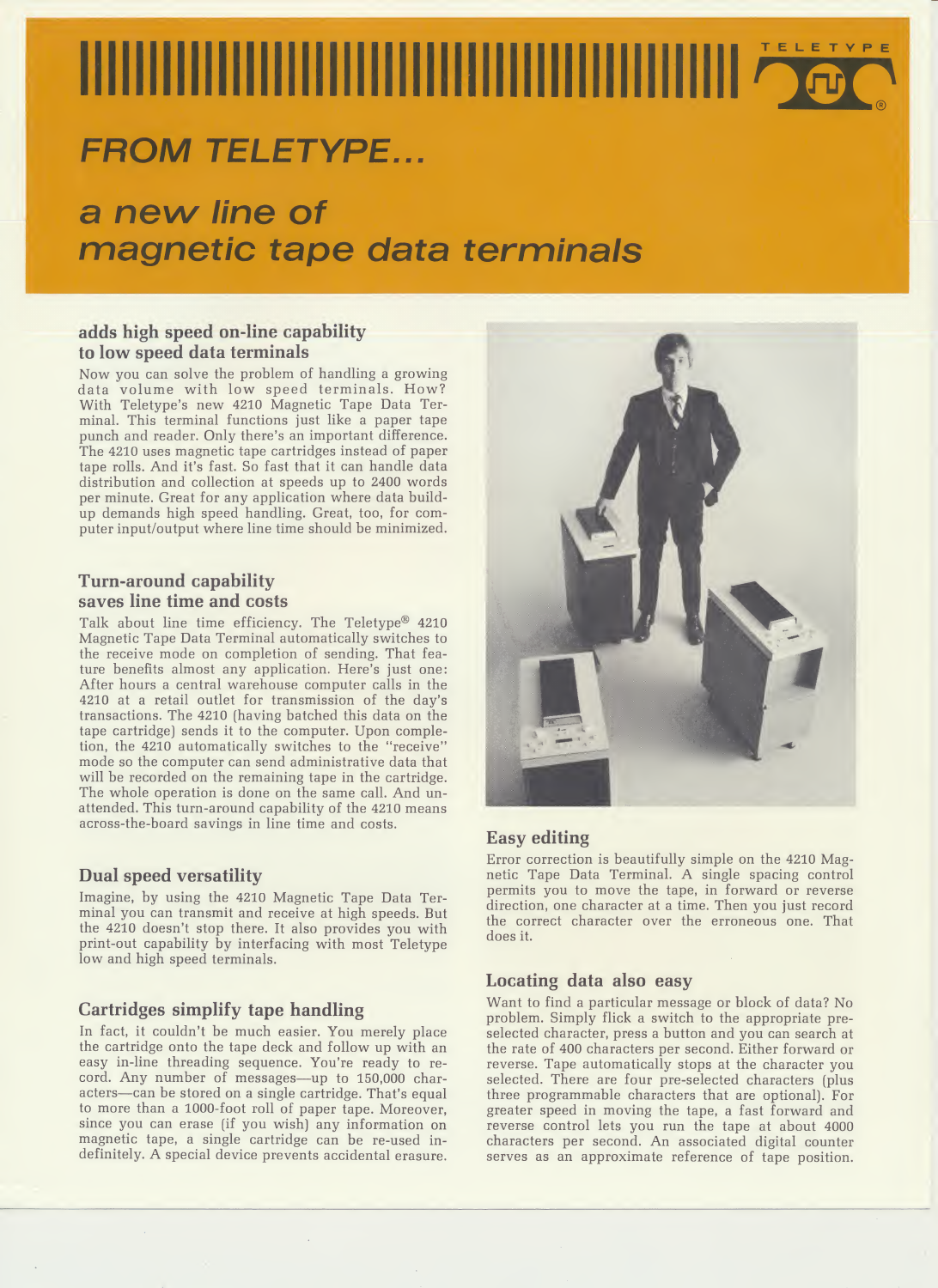# **TELETYPE**

# **FROM TELETYPE...**

# a new line of magnetic tape data terminals

## adds high speed on-line capability to low speed data terminals

Now you can solve the problem of handling a growing data volume with low speed terminals. How? With Teletype's new 4210 Magnetic Tape Data Terminal. This terminal functions just like a paper tape punch and reader. Only there's an important difference. The 4210 uses magnetic tape cartridges instead of paper tape rolls. And it's fast. So fast that it can handle data distribution and collection at speeds up to 2400 words per minute. Great for any application where data buildup demands high speed handling. Great, too, for computer input/output where line time should be minimized.

# Turn-around capability saves line time and costs

Talk about line time efficiency. The Teletype® 4210 Magnetic Tape Data Terminal automatically switches to the receive mode on completion of sending. That feature benefits almost any application. Here's just one: After hours a central warehouse computer calls in the 4210 at a retail outlet for transmission of the day's transactions. The 4210 (having batched this data on the tape cartridge) sends it to the computer. Upon completion, the 4210 automatically switches to the "receive" mode so the computer can send administrative data that will be recorded on the remaining tape in the cartridge. The whole operation is done on the same call. And unattended. This turn-around capability of the 4210 means across-the-board savings in line time and costs.

## Dual speed versatility

Imagine, by using the 4210 Magnetic Tape Data Terminal you can transmit and receive at high speeds. But the 4210 doesn't stop there. It also provides you with print-out capability by interfacing with most Teletype low and high speed terminals.

# Cartridges simplify tape handling

In fact, it couldn't be much easier. You merely place the cartridge onto the tape deck and follow up with an easy in-line threading sequence. You're ready to record. Any number of messages—up to 150,000 characters—can be stored on a single cartridge. That's equal to more than a 1000-foot roll of paper tape. Moreover, since you can erase (if you wish) any information on magnetic tape, a single cartridge can be re-used indefinitely. A special device prevents accidental erasure.



# Easy editing

Error correction is beautifully simple on the 4210 Magnetic Tape Data Terminal. A single spacing control permits you to move the tape, in forward or reverse direction, one character at a time. Then you just record the correct character over the erroneous one. That does it.

## Locating data also easy

Want to find a particular message or block of data? No problem. Simply flick a switch to the appropriate preselected character, press a button and you can search at the rate of 400 characters per second. Either forward or reverse. Tape automatically stops at the character you selected. There are four pre-selected characters (plus three programmable characters that are optional). For greater speed in moving the tape, a fast forward and reverse control lets you run the tape at about 4000 characters per second. An associated digital counter serves as an approximate reference of tape position.